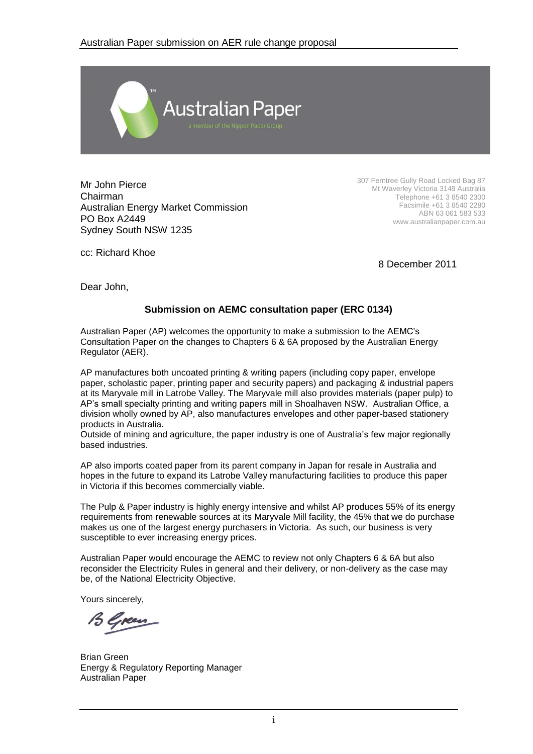

Mr John Pierce Chairman Australian Energy Market Commission PO Box A2449 Sydney South NSW 1235

307 Ferntree Gully Road Locked Bag 87 Mt Waverley Victoria 3149 Australia Telephone +61 3 8540 2300 Facsimile +61 3 8540 2280 ABN 63 061 583 533 www.australianpaper.com.au

cc: Richard Khoe

8 December 2011

Dear John,

#### **Submission on AEMC consultation paper (ERC 0134)**

Australian Paper (AP) welcomes the opportunity to make a submission to the AEMC's Consultation Paper on the changes to Chapters 6 & 6A proposed by the Australian Energy Regulator (AER).

AP manufactures both uncoated printing & writing papers (including copy paper, envelope paper, scholastic paper, printing paper and security papers) and packaging & industrial papers at its Maryvale mill in Latrobe Valley. The Maryvale mill also provides materials (paper pulp) to AP's small specialty printing and writing papers mill in Shoalhaven NSW. Australian Office, a division wholly owned by AP, also manufactures envelopes and other paper-based stationery products in Australia.

Outside of mining and agriculture, the paper industry is one of Australia's few major regionally based industries.

AP also imports coated paper from its parent company in Japan for resale in Australia and hopes in the future to expand its Latrobe Valley manufacturing facilities to produce this paper in Victoria if this becomes commercially viable.

The Pulp & Paper industry is highly energy intensive and whilst AP produces 55% of its energy requirements from renewable sources at its Maryvale Mill facility, the 45% that we do purchase makes us one of the largest energy purchasers in Victoria. As such, our business is very susceptible to ever increasing energy prices.

Australian Paper would encourage the AEMC to review not only Chapters 6 & 6A but also reconsider the Electricity Rules in general and their delivery, or non-delivery as the case may be, of the National Electricity Objective.

Yours sincerely,

15 Green

Brian Green Energy & Regulatory Reporting Manager Australian Paper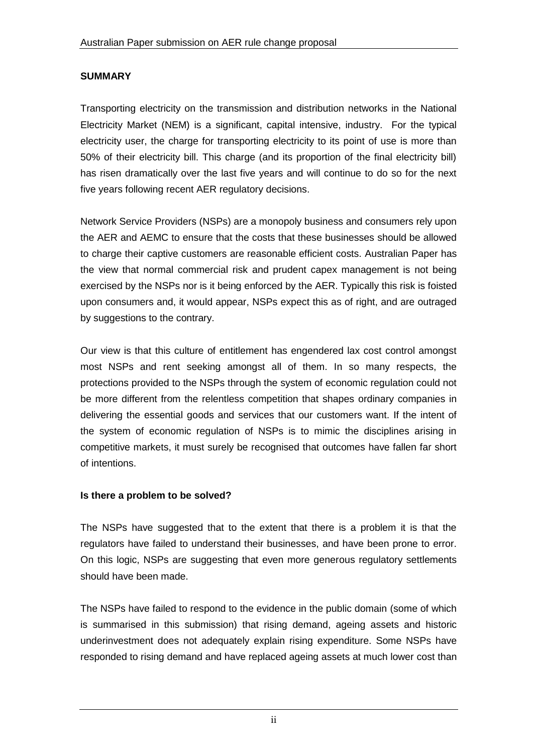#### **SUMMARY**

Transporting electricity on the transmission and distribution networks in the National Electricity Market (NEM) is a significant, capital intensive, industry. For the typical electricity user, the charge for transporting electricity to its point of use is more than 50% of their electricity bill. This charge (and its proportion of the final electricity bill) has risen dramatically over the last five years and will continue to do so for the next five years following recent AER regulatory decisions.

Network Service Providers (NSPs) are a monopoly business and consumers rely upon the AER and AEMC to ensure that the costs that these businesses should be allowed to charge their captive customers are reasonable efficient costs. Australian Paper has the view that normal commercial risk and prudent capex management is not being exercised by the NSPs nor is it being enforced by the AER. Typically this risk is foisted upon consumers and, it would appear, NSPs expect this as of right, and are outraged by suggestions to the contrary.

Our view is that this culture of entitlement has engendered lax cost control amongst most NSPs and rent seeking amongst all of them. In so many respects, the protections provided to the NSPs through the system of economic regulation could not be more different from the relentless competition that shapes ordinary companies in delivering the essential goods and services that our customers want. If the intent of the system of economic regulation of NSPs is to mimic the disciplines arising in competitive markets, it must surely be recognised that outcomes have fallen far short of intentions.

#### **Is there a problem to be solved?**

The NSPs have suggested that to the extent that there is a problem it is that the regulators have failed to understand their businesses, and have been prone to error. On this logic, NSPs are suggesting that even more generous regulatory settlements should have been made.

The NSPs have failed to respond to the evidence in the public domain (some of which is summarised in this submission) that rising demand, ageing assets and historic underinvestment does not adequately explain rising expenditure. Some NSPs have responded to rising demand and have replaced ageing assets at much lower cost than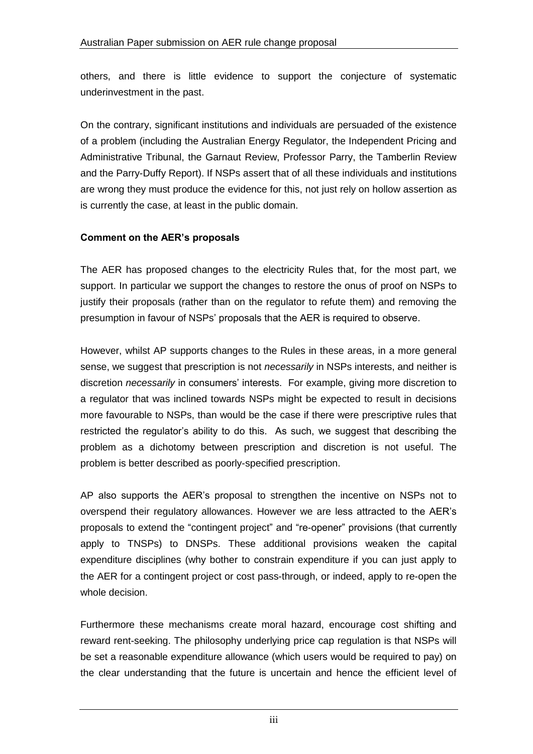others, and there is little evidence to support the conjecture of systematic underinvestment in the past.

On the contrary, significant institutions and individuals are persuaded of the existence of a problem (including the Australian Energy Regulator, the Independent Pricing and Administrative Tribunal, the Garnaut Review, Professor Parry, the Tamberlin Review and the Parry-Duffy Report). If NSPs assert that of all these individuals and institutions are wrong they must produce the evidence for this, not just rely on hollow assertion as is currently the case, at least in the public domain.

#### **Comment on the AER's proposals**

The AER has proposed changes to the electricity Rules that, for the most part, we support. In particular we support the changes to restore the onus of proof on NSPs to justify their proposals (rather than on the regulator to refute them) and removing the presumption in favour of NSPs' proposals that the AER is required to observe.

However, whilst AP supports changes to the Rules in these areas, in a more general sense, we suggest that prescription is not *necessarily* in NSPs interests, and neither is discretion *necessarily* in consumers' interests. For example, giving more discretion to a regulator that was inclined towards NSPs might be expected to result in decisions more favourable to NSPs, than would be the case if there were prescriptive rules that restricted the regulator's ability to do this. As such, we suggest that describing the problem as a dichotomy between prescription and discretion is not useful. The problem is better described as poorly-specified prescription.

AP also supports the AER's proposal to strengthen the incentive on NSPs not to overspend their regulatory allowances. However we are less attracted to the AER's proposals to extend the "contingent project" and "re-opener" provisions (that currently apply to TNSPs) to DNSPs. These additional provisions weaken the capital expenditure disciplines (why bother to constrain expenditure if you can just apply to the AER for a contingent project or cost pass-through, or indeed, apply to re-open the whole decision.

Furthermore these mechanisms create moral hazard, encourage cost shifting and reward rent-seeking. The philosophy underlying price cap regulation is that NSPs will be set a reasonable expenditure allowance (which users would be required to pay) on the clear understanding that the future is uncertain and hence the efficient level of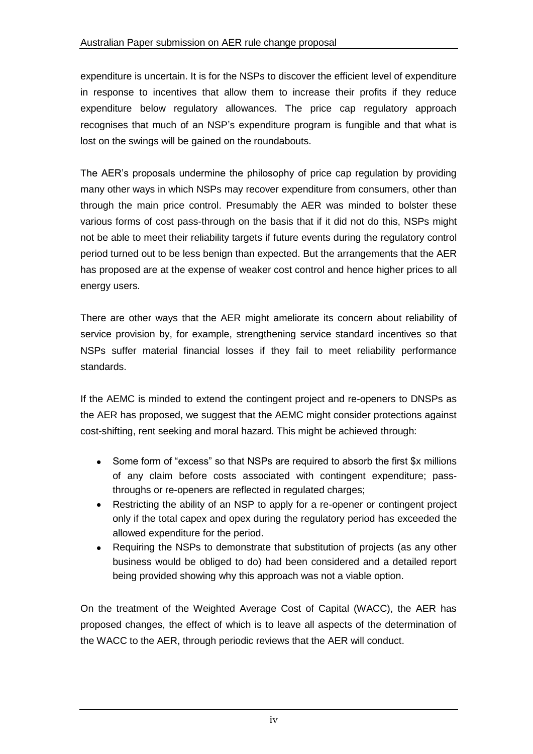expenditure is uncertain. It is for the NSPs to discover the efficient level of expenditure in response to incentives that allow them to increase their profits if they reduce expenditure below regulatory allowances. The price cap regulatory approach recognises that much of an NSP's expenditure program is fungible and that what is lost on the swings will be gained on the roundabouts.

The AER's proposals undermine the philosophy of price cap regulation by providing many other ways in which NSPs may recover expenditure from consumers, other than through the main price control. Presumably the AER was minded to bolster these various forms of cost pass-through on the basis that if it did not do this, NSPs might not be able to meet their reliability targets if future events during the regulatory control period turned out to be less benign than expected. But the arrangements that the AER has proposed are at the expense of weaker cost control and hence higher prices to all energy users.

There are other ways that the AER might ameliorate its concern about reliability of service provision by, for example, strengthening service standard incentives so that NSPs suffer material financial losses if they fail to meet reliability performance standards.

If the AEMC is minded to extend the contingent project and re-openers to DNSPs as the AER has proposed, we suggest that the AEMC might consider protections against cost-shifting, rent seeking and moral hazard. This might be achieved through:

- Some form of "excess" so that NSPs are required to absorb the first \$x millions  $\bullet$ of any claim before costs associated with contingent expenditure; passthroughs or re-openers are reflected in regulated charges;
- Restricting the ability of an NSP to apply for a re-opener or contingent project  $\bullet$ only if the total capex and opex during the regulatory period has exceeded the allowed expenditure for the period.
- $\bullet$ Requiring the NSPs to demonstrate that substitution of projects (as any other business would be obliged to do) had been considered and a detailed report being provided showing why this approach was not a viable option.

On the treatment of the Weighted Average Cost of Capital (WACC), the AER has proposed changes, the effect of which is to leave all aspects of the determination of the WACC to the AER, through periodic reviews that the AER will conduct.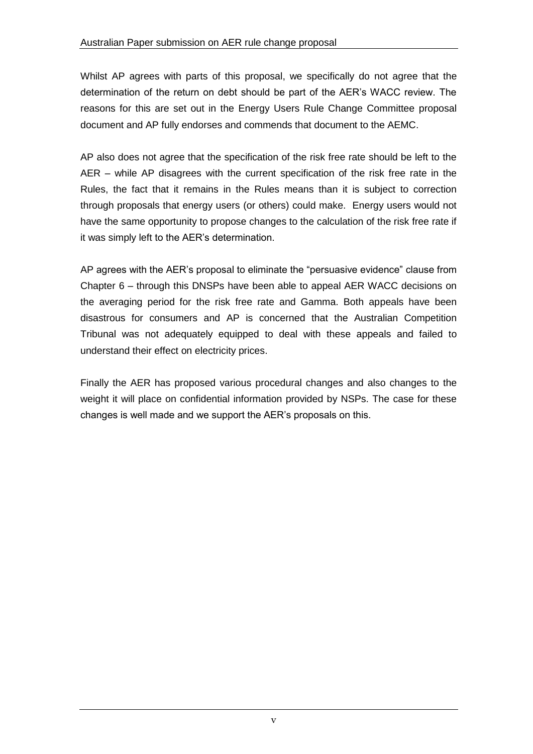Whilst AP agrees with parts of this proposal, we specifically do not agree that the determination of the return on debt should be part of the AER's WACC review. The reasons for this are set out in the Energy Users Rule Change Committee proposal document and AP fully endorses and commends that document to the AEMC.

AP also does not agree that the specification of the risk free rate should be left to the AER – while AP disagrees with the current specification of the risk free rate in the Rules, the fact that it remains in the Rules means than it is subject to correction through proposals that energy users (or others) could make. Energy users would not have the same opportunity to propose changes to the calculation of the risk free rate if it was simply left to the AER's determination.

AP agrees with the AER's proposal to eliminate the "persuasive evidence" clause from Chapter 6 – through this DNSPs have been able to appeal AER WACC decisions on the averaging period for the risk free rate and Gamma. Both appeals have been disastrous for consumers and AP is concerned that the Australian Competition Tribunal was not adequately equipped to deal with these appeals and failed to understand their effect on electricity prices.

Finally the AER has proposed various procedural changes and also changes to the weight it will place on confidential information provided by NSPs. The case for these changes is well made and we support the AER's proposals on this.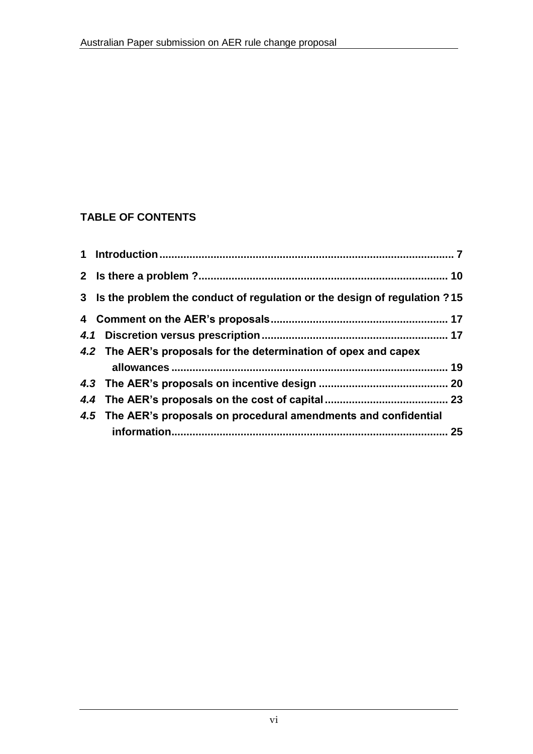### **TABLE OF CONTENTS**

| 3 Is the problem the conduct of regulation or the design of regulation ?15 |    |
|----------------------------------------------------------------------------|----|
|                                                                            |    |
|                                                                            |    |
| 4.2 The AER's proposals for the determination of opex and capex            |    |
|                                                                            |    |
|                                                                            |    |
|                                                                            |    |
| 4.5 The AER's proposals on procedural amendments and confidential          |    |
|                                                                            | 25 |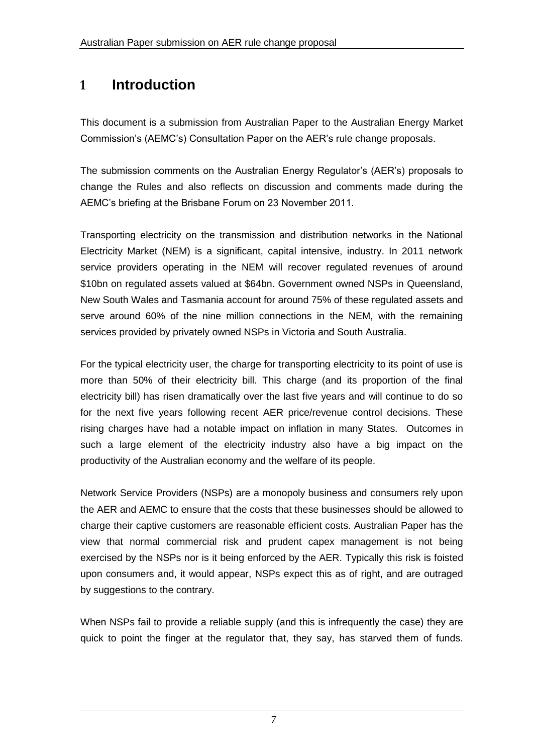# **1 Introduction**

This document is a submission from Australian Paper to the Australian Energy Market Commission's (AEMC's) Consultation Paper on the AER's rule change proposals.

The submission comments on the Australian Energy Regulator's (AER's) proposals to change the Rules and also reflects on discussion and comments made during the AEMC's briefing at the Brisbane Forum on 23 November 2011.

Transporting electricity on the transmission and distribution networks in the National Electricity Market (NEM) is a significant, capital intensive, industry. In 2011 network service providers operating in the NEM will recover regulated revenues of around \$10bn on regulated assets valued at \$64bn. Government owned NSPs in Queensland, New South Wales and Tasmania account for around 75% of these regulated assets and serve around 60% of the nine million connections in the NEM, with the remaining services provided by privately owned NSPs in Victoria and South Australia.

For the typical electricity user, the charge for transporting electricity to its point of use is more than 50% of their electricity bill. This charge (and its proportion of the final electricity bill) has risen dramatically over the last five years and will continue to do so for the next five years following recent AER price/revenue control decisions. These rising charges have had a notable impact on inflation in many States. Outcomes in such a large element of the electricity industry also have a big impact on the productivity of the Australian economy and the welfare of its people.

Network Service Providers (NSPs) are a monopoly business and consumers rely upon the AER and AEMC to ensure that the costs that these businesses should be allowed to charge their captive customers are reasonable efficient costs. Australian Paper has the view that normal commercial risk and prudent capex management is not being exercised by the NSPs nor is it being enforced by the AER. Typically this risk is foisted upon consumers and, it would appear, NSPs expect this as of right, and are outraged by suggestions to the contrary.

When NSPs fail to provide a reliable supply (and this is infrequently the case) they are quick to point the finger at the regulator that, they say, has starved them of funds.

7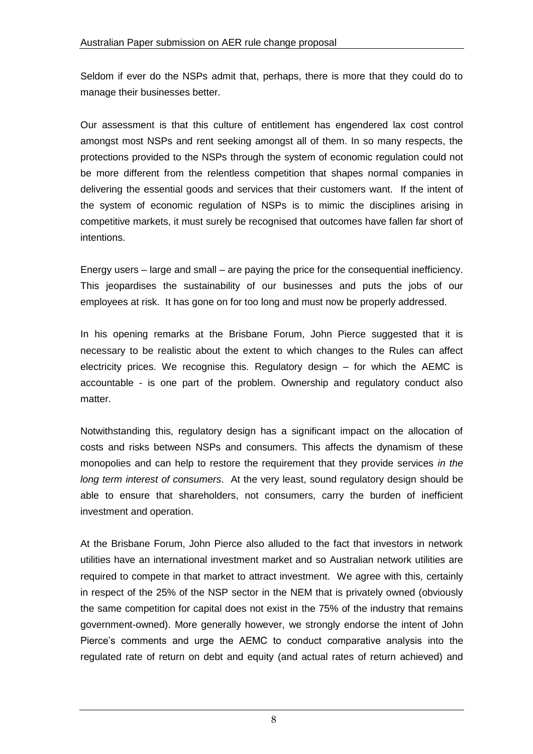Seldom if ever do the NSPs admit that, perhaps, there is more that they could do to manage their businesses better.

Our assessment is that this culture of entitlement has engendered lax cost control amongst most NSPs and rent seeking amongst all of them. In so many respects, the protections provided to the NSPs through the system of economic regulation could not be more different from the relentless competition that shapes normal companies in delivering the essential goods and services that their customers want. If the intent of the system of economic regulation of NSPs is to mimic the disciplines arising in competitive markets, it must surely be recognised that outcomes have fallen far short of intentions.

Energy users – large and small – are paying the price for the consequential inefficiency. This jeopardises the sustainability of our businesses and puts the jobs of our employees at risk. It has gone on for too long and must now be properly addressed.

In his opening remarks at the Brisbane Forum, John Pierce suggested that it is necessary to be realistic about the extent to which changes to the Rules can affect electricity prices. We recognise this. Regulatory design – for which the AEMC is accountable - is one part of the problem. Ownership and regulatory conduct also matter.

Notwithstanding this, regulatory design has a significant impact on the allocation of costs and risks between NSPs and consumers. This affects the dynamism of these monopolies and can help to restore the requirement that they provide services *in the long term interest of consumers*. At the very least, sound regulatory design should be able to ensure that shareholders, not consumers, carry the burden of inefficient investment and operation.

At the Brisbane Forum, John Pierce also alluded to the fact that investors in network utilities have an international investment market and so Australian network utilities are required to compete in that market to attract investment. We agree with this, certainly in respect of the 25% of the NSP sector in the NEM that is privately owned (obviously the same competition for capital does not exist in the 75% of the industry that remains government-owned). More generally however, we strongly endorse the intent of John Pierce's comments and urge the AEMC to conduct comparative analysis into the regulated rate of return on debt and equity (and actual rates of return achieved) and

8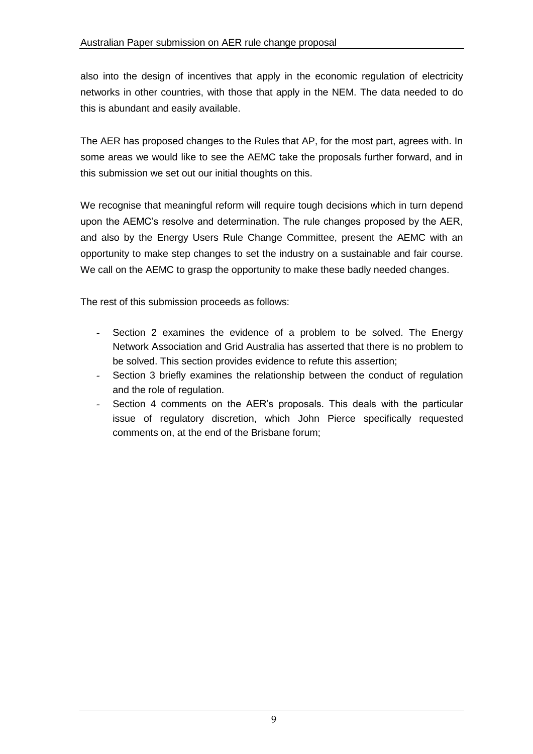also into the design of incentives that apply in the economic regulation of electricity networks in other countries, with those that apply in the NEM. The data needed to do this is abundant and easily available.

The AER has proposed changes to the Rules that AP, for the most part, agrees with. In some areas we would like to see the AEMC take the proposals further forward, and in this submission we set out our initial thoughts on this.

We recognise that meaningful reform will require tough decisions which in turn depend upon the AEMC's resolve and determination. The rule changes proposed by the AER, and also by the Energy Users Rule Change Committee, present the AEMC with an opportunity to make step changes to set the industry on a sustainable and fair course. We call on the AEMC to grasp the opportunity to make these badly needed changes.

The rest of this submission proceeds as follows:

- Section 2 examines the evidence of a problem to be solved. The Energy Network Association and Grid Australia has asserted that there is no problem to be solved. This section provides evidence to refute this assertion;
- Section 3 briefly examines the relationship between the conduct of regulation and the role of regulation.
- Section 4 comments on the AER's proposals. This deals with the particular issue of regulatory discretion, which John Pierce specifically requested comments on, at the end of the Brisbane forum;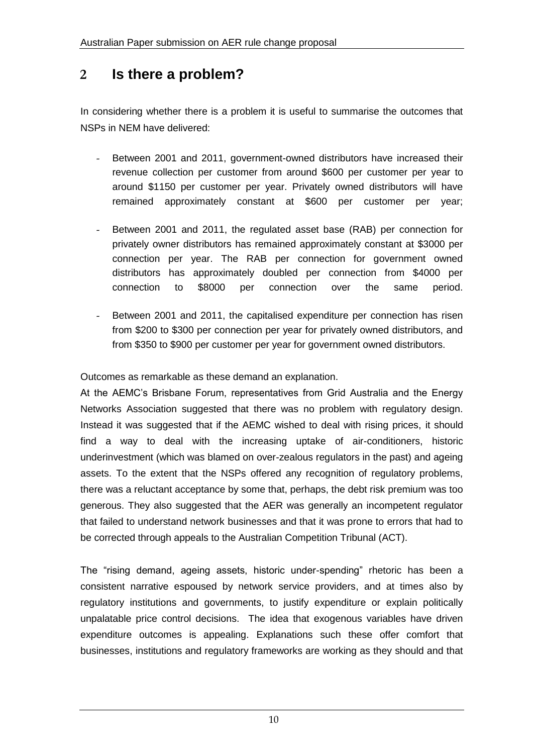## **2 Is there a problem?**

In considering whether there is a problem it is useful to summarise the outcomes that NSPs in NEM have delivered:

- Between 2001 and 2011, government-owned distributors have increased their revenue collection per customer from around \$600 per customer per year to around \$1150 per customer per year. Privately owned distributors will have remained approximately constant at \$600 per customer per year;
- Between 2001 and 2011, the regulated asset base (RAB) per connection for privately owner distributors has remained approximately constant at \$3000 per connection per year. The RAB per connection for government owned distributors has approximately doubled per connection from \$4000 per connection to \$8000 per connection over the same period.
- Between 2001 and 2011, the capitalised expenditure per connection has risen from \$200 to \$300 per connection per year for privately owned distributors, and from \$350 to \$900 per customer per year for government owned distributors.

Outcomes as remarkable as these demand an explanation.

At the AEMC's Brisbane Forum, representatives from Grid Australia and the Energy Networks Association suggested that there was no problem with regulatory design. Instead it was suggested that if the AEMC wished to deal with rising prices, it should find a way to deal with the increasing uptake of air-conditioners, historic underinvestment (which was blamed on over-zealous regulators in the past) and ageing assets. To the extent that the NSPs offered any recognition of regulatory problems, there was a reluctant acceptance by some that, perhaps, the debt risk premium was too generous. They also suggested that the AER was generally an incompetent regulator that failed to understand network businesses and that it was prone to errors that had to be corrected through appeals to the Australian Competition Tribunal (ACT).

The "rising demand, ageing assets, historic under-spending" rhetoric has been a consistent narrative espoused by network service providers, and at times also by regulatory institutions and governments, to justify expenditure or explain politically unpalatable price control decisions. The idea that exogenous variables have driven expenditure outcomes is appealing. Explanations such these offer comfort that businesses, institutions and regulatory frameworks are working as they should and that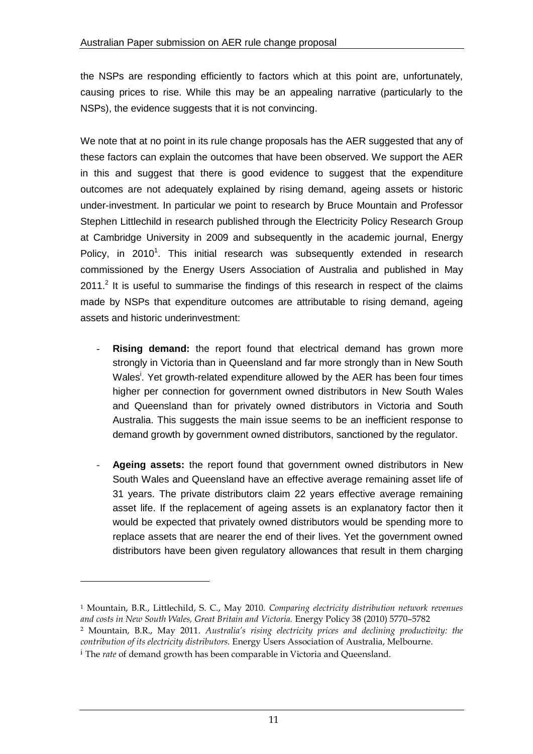the NSPs are responding efficiently to factors which at this point are, unfortunately, causing prices to rise. While this may be an appealing narrative (particularly to the NSPs), the evidence suggests that it is not convincing.

We note that at no point in its rule change proposals has the AER suggested that any of these factors can explain the outcomes that have been observed. We support the AER in this and suggest that there is good evidence to suggest that the expenditure outcomes are not adequately explained by rising demand, ageing assets or historic under-investment. In particular we point to research by Bruce Mountain and Professor Stephen Littlechild in research published through the Electricity Policy Research Group at Cambridge University in 2009 and subsequently in the academic journal, Energy Policy, in 2010<sup>1</sup>. This initial research was subsequently extended in research commissioned by the Energy Users Association of Australia and published in May  $2011<sup>2</sup>$  It is useful to summarise the findings of this research in respect of the claims made by NSPs that expenditure outcomes are attributable to rising demand, ageing assets and historic underinvestment:

- **Rising demand:** the report found that electrical demand has grown more strongly in Victoria than in Queensland and far more strongly than in New South Wales<sup>i</sup>. Yet growth-related expenditure allowed by the AER has been four times higher per connection for government owned distributors in New South Wales and Queensland than for privately owned distributors in Victoria and South Australia. This suggests the main issue seems to be an inefficient response to demand growth by government owned distributors, sanctioned by the regulator.
- Ageing assets: the report found that government owned distributors in New South Wales and Queensland have an effective average remaining asset life of 31 years. The private distributors claim 22 years effective average remaining asset life. If the replacement of ageing assets is an explanatory factor then it would be expected that privately owned distributors would be spending more to replace assets that are nearer the end of their lives. Yet the government owned distributors have been given regulatory allowances that result in them charging

 $\overline{a}$ 

<sup>1</sup> Mountain, B.R., Littlechild, S. C., May 2010. *Comparing electricity distribution network revenues and costs in New South Wales, Great Britain and Victoria.* Energy Policy 38 (2010) 5770–5782 <sup>2</sup> Mountain, B.R., May 2011. *Australia's rising electricity prices and declining productivity: the contribution of its electricity distributors.* Energy Users Association of Australia, Melbourne.

<sup>i</sup> The *rate* of demand growth has been comparable in Victoria and Queensland.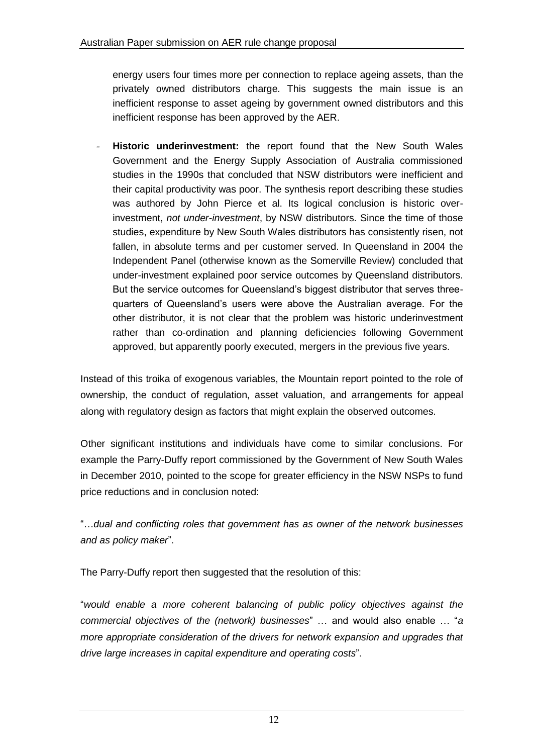energy users four times more per connection to replace ageing assets, than the privately owned distributors charge. This suggests the main issue is an inefficient response to asset ageing by government owned distributors and this inefficient response has been approved by the AER.

- **Historic underinvestment:** the report found that the New South Wales Government and the Energy Supply Association of Australia commissioned studies in the 1990s that concluded that NSW distributors were inefficient and their capital productivity was poor. The synthesis report describing these studies was authored by John Pierce et al. Its logical conclusion is historic overinvestment, *not under-investment*, by NSW distributors. Since the time of those studies, expenditure by New South Wales distributors has consistently risen, not fallen, in absolute terms and per customer served. In Queensland in 2004 the Independent Panel (otherwise known as the Somerville Review) concluded that under-investment explained poor service outcomes by Queensland distributors. But the service outcomes for Queensland's biggest distributor that serves threequarters of Queensland's users were above the Australian average. For the other distributor, it is not clear that the problem was historic underinvestment rather than co-ordination and planning deficiencies following Government approved, but apparently poorly executed, mergers in the previous five years.

Instead of this troika of exogenous variables, the Mountain report pointed to the role of ownership, the conduct of regulation, asset valuation, and arrangements for appeal along with regulatory design as factors that might explain the observed outcomes.

Other significant institutions and individuals have come to similar conclusions. For example the Parry-Duffy report commissioned by the Government of New South Wales in December 2010, pointed to the scope for greater efficiency in the NSW NSPs to fund price reductions and in conclusion noted:

"…*dual and conflicting roles that government has as owner of the network businesses and as policy maker*".

The Parry-Duffy report then suggested that the resolution of this:

"*would enable a more coherent balancing of public policy objectives against the commercial objectives of the (network) businesses*" … and would also enable … "*a more appropriate consideration of the drivers for network expansion and upgrades that drive large increases in capital expenditure and operating costs*".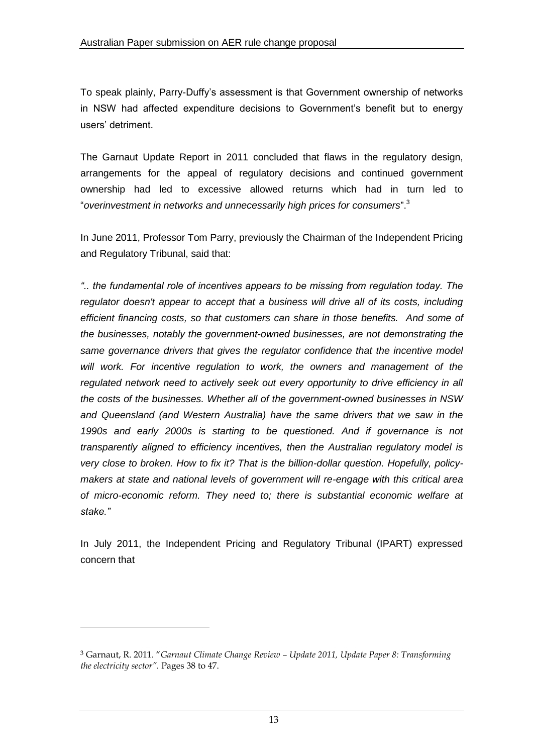To speak plainly, Parry-Duffy's assessment is that Government ownership of networks in NSW had affected expenditure decisions to Government's benefit but to energy users' detriment.

The Garnaut Update Report in 2011 concluded that flaws in the regulatory design, arrangements for the appeal of regulatory decisions and continued government ownership had led to excessive allowed returns which had in turn led to "*overinvestment in networks and unnecessarily high prices for consumers*". 3

In June 2011, Professor Tom Parry, previously the Chairman of the Independent Pricing and Regulatory Tribunal, said that:

*".. the fundamental role of incentives appears to be missing from regulation today. The regulator doesn't appear to accept that a business will drive all of its costs, including efficient financing costs, so that customers can share in those benefits. And some of the businesses, notably the government-owned businesses, are not demonstrating the same governance drivers that gives the regulator confidence that the incentive model will work. For incentive regulation to work, the owners and management of the regulated network need to actively seek out every opportunity to drive efficiency in all the costs of the businesses. Whether all of the government-owned businesses in NSW and Queensland (and Western Australia) have the same drivers that we saw in the 1990s and early 2000s is starting to be questioned. And if governance is not transparently aligned to efficiency incentives, then the Australian regulatory model is very close to broken. How to fix it? That is the billion-dollar question. Hopefully, policymakers at state and national levels of government will re-engage with this critical area of micro-economic reform. They need to; there is substantial economic welfare at stake."*

In July 2011, the Independent Pricing and Regulatory Tribunal (IPART) expressed concern that

 $\overline{a}$ 

<sup>3</sup> Garnaut, R. 2011. "*Garnaut Climate Change Review – Update 2011, Update Paper 8: Transforming the electricity sector".* Pages 38 to 47.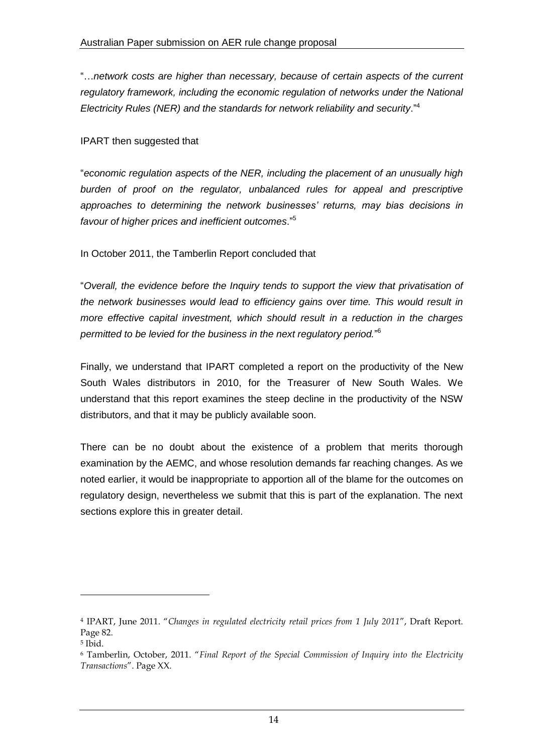"…*network costs are higher than necessary, because of certain aspects of the current regulatory framework, including the economic regulation of networks under the National Electricity Rules (NER) and the standards for network reliability and security*."<sup>4</sup>

#### IPART then suggested that

"*economic regulation aspects of the NER, including the placement of an unusually high burden of proof on the regulator, unbalanced rules for appeal and prescriptive approaches to determining the network businesses' returns, may bias decisions in favour of higher prices and inefficient outcomes*."<sup>5</sup>

In October 2011, the Tamberlin Report concluded that

"*Overall, the evidence before the Inquiry tends to support the view that privatisation of the network businesses would lead to efficiency gains over time. This would result in more effective capital investment, which should result in a reduction in the charges permitted to be levied for the business in the next regulatory period.*" 6

Finally, we understand that IPART completed a report on the productivity of the New South Wales distributors in 2010, for the Treasurer of New South Wales. We understand that this report examines the steep decline in the productivity of the NSW distributors, and that it may be publicly available soon.

There can be no doubt about the existence of a problem that merits thorough examination by the AEMC, and whose resolution demands far reaching changes. As we noted earlier, it would be inappropriate to apportion all of the blame for the outcomes on regulatory design, nevertheless we submit that this is part of the explanation. The next sections explore this in greater detail.

1

<sup>4</sup> IPART, June 2011. "*Changes in regulated electricity retail prices from 1 July 2011*", Draft Report. Page 82.

<sup>5</sup> Ibid.

<sup>6</sup> Tamberlin, October, 2011. "*Final Report of the Special Commission of Inquiry into the Electricity Transactions*". Page XX.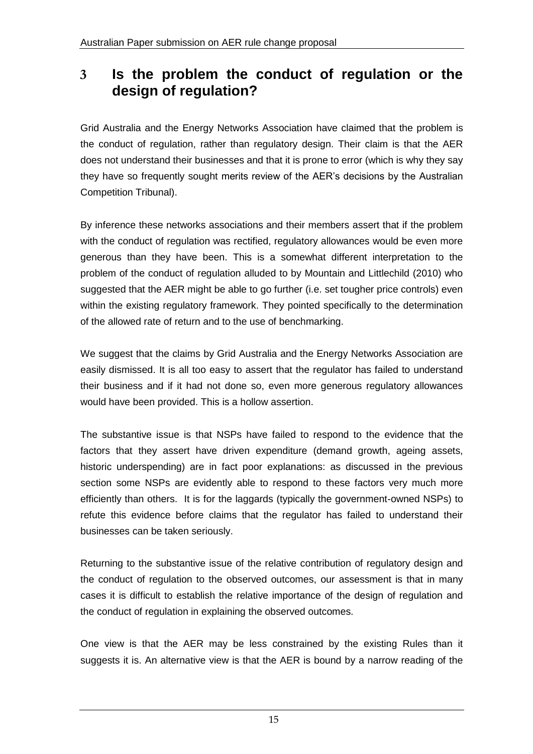## **3 Is the problem the conduct of regulation or the design of regulation?**

Grid Australia and the Energy Networks Association have claimed that the problem is the conduct of regulation, rather than regulatory design. Their claim is that the AER does not understand their businesses and that it is prone to error (which is why they say they have so frequently sought merits review of the AER's decisions by the Australian Competition Tribunal).

By inference these networks associations and their members assert that if the problem with the conduct of regulation was rectified, regulatory allowances would be even more generous than they have been. This is a somewhat different interpretation to the problem of the conduct of regulation alluded to by Mountain and Littlechild (2010) who suggested that the AER might be able to go further (i.e. set tougher price controls) even within the existing regulatory framework. They pointed specifically to the determination of the allowed rate of return and to the use of benchmarking.

We suggest that the claims by Grid Australia and the Energy Networks Association are easily dismissed. It is all too easy to assert that the regulator has failed to understand their business and if it had not done so, even more generous regulatory allowances would have been provided. This is a hollow assertion.

The substantive issue is that NSPs have failed to respond to the evidence that the factors that they assert have driven expenditure (demand growth, ageing assets, historic underspending) are in fact poor explanations: as discussed in the previous section some NSPs are evidently able to respond to these factors very much more efficiently than others. It is for the laggards (typically the government-owned NSPs) to refute this evidence before claims that the regulator has failed to understand their businesses can be taken seriously.

Returning to the substantive issue of the relative contribution of regulatory design and the conduct of regulation to the observed outcomes, our assessment is that in many cases it is difficult to establish the relative importance of the design of regulation and the conduct of regulation in explaining the observed outcomes.

One view is that the AER may be less constrained by the existing Rules than it suggests it is. An alternative view is that the AER is bound by a narrow reading of the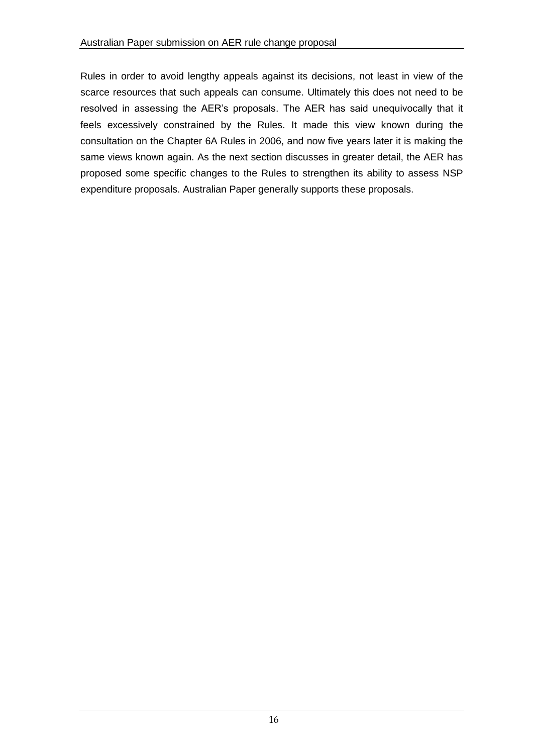Rules in order to avoid lengthy appeals against its decisions, not least in view of the scarce resources that such appeals can consume. Ultimately this does not need to be resolved in assessing the AER's proposals. The AER has said unequivocally that it feels excessively constrained by the Rules. It made this view known during the consultation on the Chapter 6A Rules in 2006, and now five years later it is making the same views known again. As the next section discusses in greater detail, the AER has proposed some specific changes to the Rules to strengthen its ability to assess NSP expenditure proposals. Australian Paper generally supports these proposals.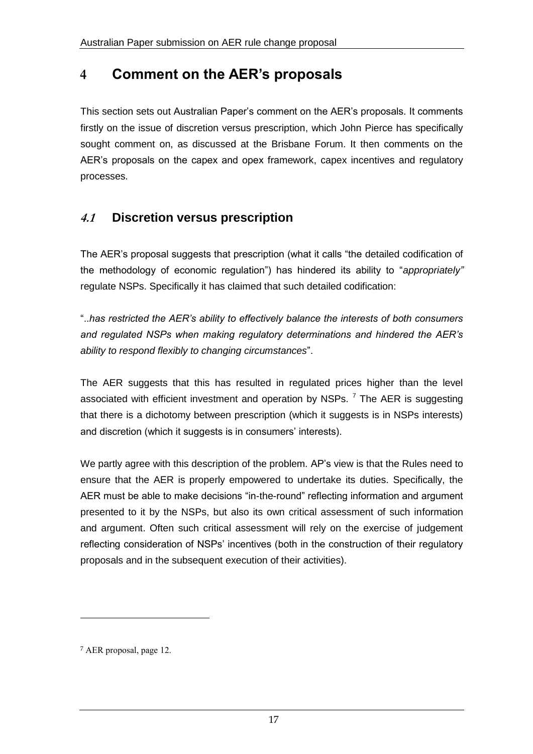# **4 Comment on the AER's proposals**

This section sets out Australian Paper's comment on the AER's proposals. It comments firstly on the issue of discretion versus prescription, which John Pierce has specifically sought comment on, as discussed at the Brisbane Forum. It then comments on the AER's proposals on the capex and opex framework, capex incentives and regulatory processes.

## **4.1 Discretion versus prescription**

The AER's proposal suggests that prescription (what it calls "the detailed codification of the methodology of economic regulation") has hindered its ability to "*appropriately"*  regulate NSPs. Specifically it has claimed that such detailed codification:

"..*has restricted the AER's ability to effectively balance the interests of both consumers and regulated NSPs when making regulatory determinations and hindered the AER's ability to respond flexibly to changing circumstances*".

The AER suggests that this has resulted in regulated prices higher than the level associated with efficient investment and operation by NSPs.  $^7$  The AER is suggesting that there is a dichotomy between prescription (which it suggests is in NSPs interests) and discretion (which it suggests is in consumers' interests).

We partly agree with this description of the problem. AP's view is that the Rules need to ensure that the AER is properly empowered to undertake its duties. Specifically, the AER must be able to make decisions "in-the-round" reflecting information and argument presented to it by the NSPs, but also its own critical assessment of such information and argument. Often such critical assessment will rely on the exercise of judgement reflecting consideration of NSPs' incentives (both in the construction of their regulatory proposals and in the subsequent execution of their activities).

1

<sup>7</sup> AER proposal, page 12.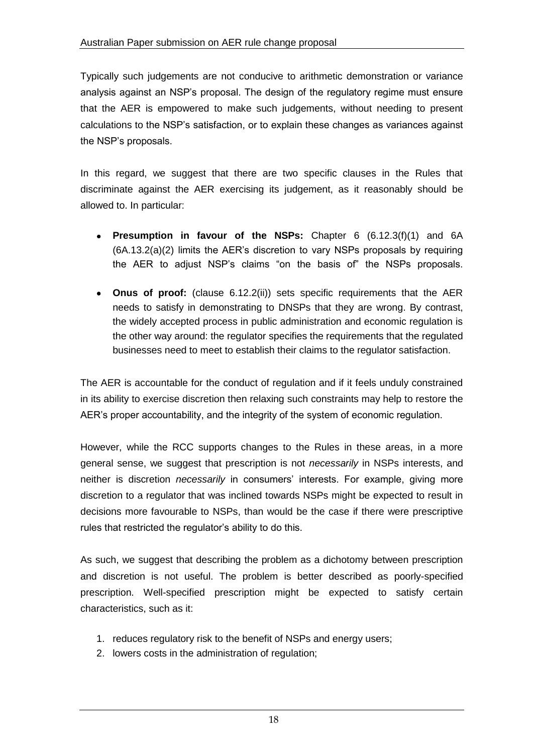Typically such judgements are not conducive to arithmetic demonstration or variance analysis against an NSP's proposal. The design of the regulatory regime must ensure that the AER is empowered to make such judgements, without needing to present calculations to the NSP's satisfaction, or to explain these changes as variances against the NSP's proposals.

In this regard, we suggest that there are two specific clauses in the Rules that discriminate against the AER exercising its judgement, as it reasonably should be allowed to. In particular:

- **Presumption in favour of the NSPs:** Chapter 6 (6.12.3(f)(1) and 6A  $\bullet$ (6A.13.2(a)(2) limits the AER's discretion to vary NSPs proposals by requiring the AER to adjust NSP's claims "on the basis of" the NSPs proposals.
- **Onus of proof:** (clause 6.12.2(ii)) sets specific requirements that the AER needs to satisfy in demonstrating to DNSPs that they are wrong. By contrast, the widely accepted process in public administration and economic regulation is the other way around: the regulator specifies the requirements that the regulated businesses need to meet to establish their claims to the regulator satisfaction.

The AER is accountable for the conduct of regulation and if it feels unduly constrained in its ability to exercise discretion then relaxing such constraints may help to restore the AER's proper accountability, and the integrity of the system of economic regulation.

However, while the RCC supports changes to the Rules in these areas, in a more general sense, we suggest that prescription is not *necessarily* in NSPs interests, and neither is discretion *necessarily* in consumers' interests. For example, giving more discretion to a regulator that was inclined towards NSPs might be expected to result in decisions more favourable to NSPs, than would be the case if there were prescriptive rules that restricted the regulator's ability to do this.

As such, we suggest that describing the problem as a dichotomy between prescription and discretion is not useful. The problem is better described as poorly-specified prescription. Well-specified prescription might be expected to satisfy certain characteristics, such as it:

- 1. reduces regulatory risk to the benefit of NSPs and energy users;
- 2. lowers costs in the administration of regulation;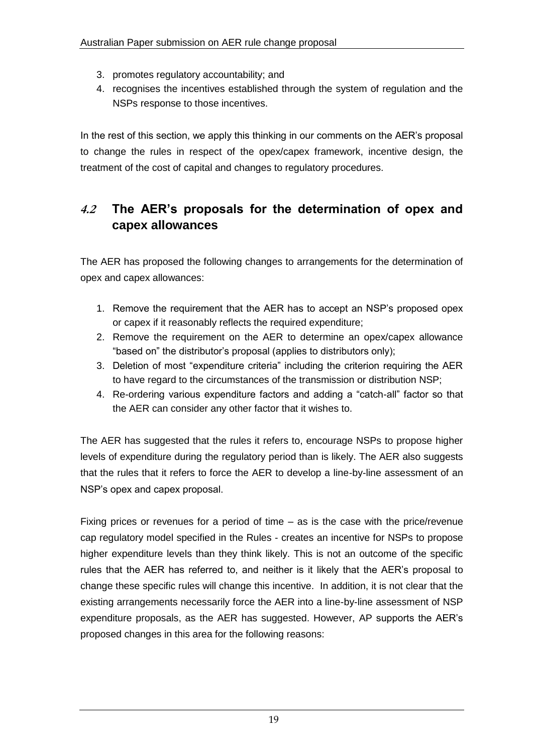- 3. promotes regulatory accountability; and
- 4. recognises the incentives established through the system of regulation and the NSPs response to those incentives.

In the rest of this section, we apply this thinking in our comments on the AER's proposal to change the rules in respect of the opex/capex framework, incentive design, the treatment of the cost of capital and changes to regulatory procedures.

### **4.2 The AER's proposals for the determination of opex and capex allowances**

The AER has proposed the following changes to arrangements for the determination of opex and capex allowances:

- 1. Remove the requirement that the AER has to accept an NSP's proposed opex or capex if it reasonably reflects the required expenditure;
- 2. Remove the requirement on the AER to determine an opex/capex allowance "based on" the distributor's proposal (applies to distributors only);
- 3. Deletion of most "expenditure criteria" including the criterion requiring the AER to have regard to the circumstances of the transmission or distribution NSP;
- 4. Re-ordering various expenditure factors and adding a "catch-all" factor so that the AER can consider any other factor that it wishes to.

The AER has suggested that the rules it refers to, encourage NSPs to propose higher levels of expenditure during the regulatory period than is likely. The AER also suggests that the rules that it refers to force the AER to develop a line-by-line assessment of an NSP's opex and capex proposal.

Fixing prices or revenues for a period of time – as is the case with the price/revenue cap regulatory model specified in the Rules - creates an incentive for NSPs to propose higher expenditure levels than they think likely. This is not an outcome of the specific rules that the AER has referred to, and neither is it likely that the AER's proposal to change these specific rules will change this incentive. In addition, it is not clear that the existing arrangements necessarily force the AER into a line-by-line assessment of NSP expenditure proposals, as the AER has suggested. However, AP supports the AER's proposed changes in this area for the following reasons: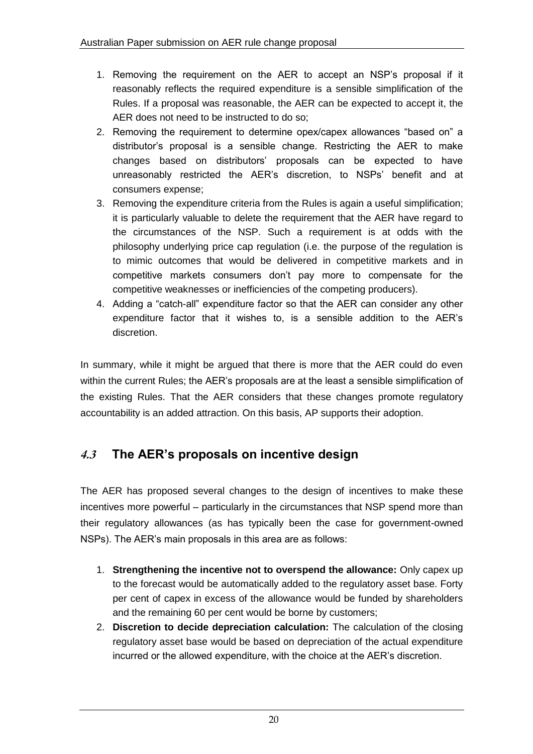- 1. Removing the requirement on the AER to accept an NSP's proposal if it reasonably reflects the required expenditure is a sensible simplification of the Rules. If a proposal was reasonable, the AER can be expected to accept it, the AER does not need to be instructed to do so;
- 2. Removing the requirement to determine opex/capex allowances "based on" a distributor's proposal is a sensible change. Restricting the AER to make changes based on distributors' proposals can be expected to have unreasonably restricted the AER's discretion, to NSPs' benefit and at consumers expense;
- 3. Removing the expenditure criteria from the Rules is again a useful simplification; it is particularly valuable to delete the requirement that the AER have regard to the circumstances of the NSP. Such a requirement is at odds with the philosophy underlying price cap regulation (i.e. the purpose of the regulation is to mimic outcomes that would be delivered in competitive markets and in competitive markets consumers don't pay more to compensate for the competitive weaknesses or inefficiencies of the competing producers).
- 4. Adding a "catch-all" expenditure factor so that the AER can consider any other expenditure factor that it wishes to, is a sensible addition to the AER's discretion.

In summary, while it might be argued that there is more that the AER could do even within the current Rules; the AER's proposals are at the least a sensible simplification of the existing Rules. That the AER considers that these changes promote regulatory accountability is an added attraction. On this basis, AP supports their adoption.

## **4.3 The AER's proposals on incentive design**

The AER has proposed several changes to the design of incentives to make these incentives more powerful – particularly in the circumstances that NSP spend more than their regulatory allowances (as has typically been the case for government-owned NSPs). The AER's main proposals in this area are as follows:

- 1. **Strengthening the incentive not to overspend the allowance:** Only capex up to the forecast would be automatically added to the regulatory asset base. Forty per cent of capex in excess of the allowance would be funded by shareholders and the remaining 60 per cent would be borne by customers;
- 2. **Discretion to decide depreciation calculation:** The calculation of the closing regulatory asset base would be based on depreciation of the actual expenditure incurred or the allowed expenditure, with the choice at the AER's discretion.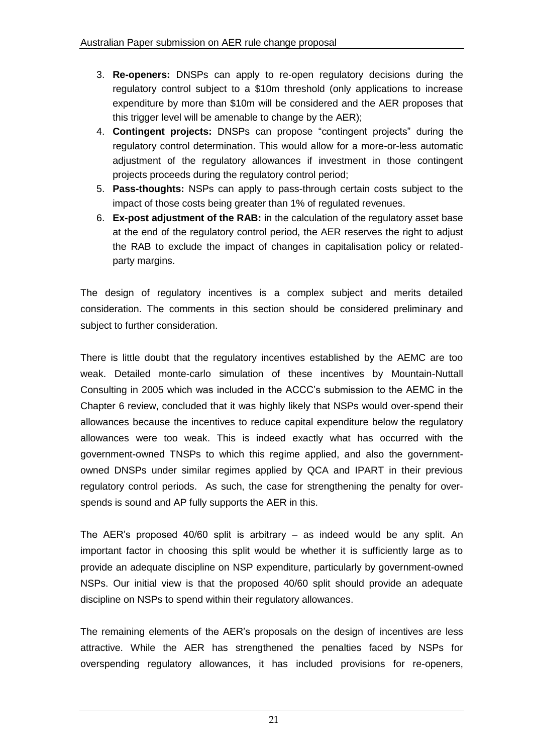- 3. **Re-openers:** DNSPs can apply to re-open regulatory decisions during the regulatory control subject to a \$10m threshold (only applications to increase expenditure by more than \$10m will be considered and the AER proposes that this trigger level will be amenable to change by the AER);
- 4. **Contingent projects:** DNSPs can propose "contingent projects" during the regulatory control determination. This would allow for a more-or-less automatic adjustment of the regulatory allowances if investment in those contingent projects proceeds during the regulatory control period;
- 5. **Pass-thoughts:** NSPs can apply to pass-through certain costs subject to the impact of those costs being greater than 1% of regulated revenues.
- 6. **Ex-post adjustment of the RAB:** in the calculation of the regulatory asset base at the end of the regulatory control period, the AER reserves the right to adjust the RAB to exclude the impact of changes in capitalisation policy or relatedparty margins.

The design of regulatory incentives is a complex subject and merits detailed consideration. The comments in this section should be considered preliminary and subject to further consideration.

There is little doubt that the regulatory incentives established by the AEMC are too weak. Detailed monte-carlo simulation of these incentives by Mountain-Nuttall Consulting in 2005 which was included in the ACCC's submission to the AEMC in the Chapter 6 review, concluded that it was highly likely that NSPs would over-spend their allowances because the incentives to reduce capital expenditure below the regulatory allowances were too weak. This is indeed exactly what has occurred with the government-owned TNSPs to which this regime applied, and also the governmentowned DNSPs under similar regimes applied by QCA and IPART in their previous regulatory control periods. As such, the case for strengthening the penalty for overspends is sound and AP fully supports the AER in this.

The AER's proposed 40/60 split is arbitrary  $-$  as indeed would be any split. An important factor in choosing this split would be whether it is sufficiently large as to provide an adequate discipline on NSP expenditure, particularly by government-owned NSPs. Our initial view is that the proposed 40/60 split should provide an adequate discipline on NSPs to spend within their regulatory allowances.

The remaining elements of the AER's proposals on the design of incentives are less attractive. While the AER has strengthened the penalties faced by NSPs for overspending regulatory allowances, it has included provisions for re-openers,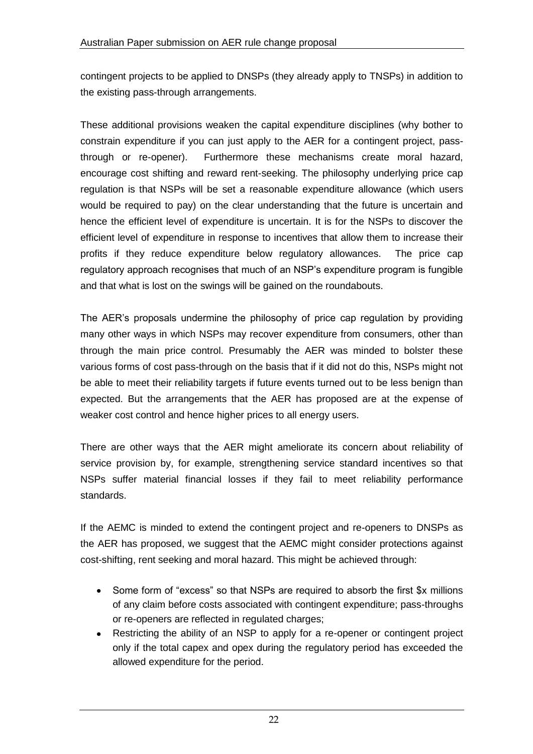contingent projects to be applied to DNSPs (they already apply to TNSPs) in addition to the existing pass-through arrangements.

These additional provisions weaken the capital expenditure disciplines (why bother to constrain expenditure if you can just apply to the AER for a contingent project, passthrough or re-opener). Furthermore these mechanisms create moral hazard, encourage cost shifting and reward rent-seeking. The philosophy underlying price cap regulation is that NSPs will be set a reasonable expenditure allowance (which users would be required to pay) on the clear understanding that the future is uncertain and hence the efficient level of expenditure is uncertain. It is for the NSPs to discover the efficient level of expenditure in response to incentives that allow them to increase their profits if they reduce expenditure below regulatory allowances. The price cap regulatory approach recognises that much of an NSP's expenditure program is fungible and that what is lost on the swings will be gained on the roundabouts.

The AER's proposals undermine the philosophy of price cap regulation by providing many other ways in which NSPs may recover expenditure from consumers, other than through the main price control. Presumably the AER was minded to bolster these various forms of cost pass-through on the basis that if it did not do this, NSPs might not be able to meet their reliability targets if future events turned out to be less benign than expected. But the arrangements that the AER has proposed are at the expense of weaker cost control and hence higher prices to all energy users.

There are other ways that the AER might ameliorate its concern about reliability of service provision by, for example, strengthening service standard incentives so that NSPs suffer material financial losses if they fail to meet reliability performance standards.

If the AEMC is minded to extend the contingent project and re-openers to DNSPs as the AER has proposed, we suggest that the AEMC might consider protections against cost-shifting, rent seeking and moral hazard. This might be achieved through:

- Some form of "excess" so that NSPs are required to absorb the first \$x millions  $\bullet$ of any claim before costs associated with contingent expenditure; pass-throughs or re-openers are reflected in regulated charges;
- Restricting the ability of an NSP to apply for a re-opener or contingent project  $\bullet$ only if the total capex and opex during the regulatory period has exceeded the allowed expenditure for the period.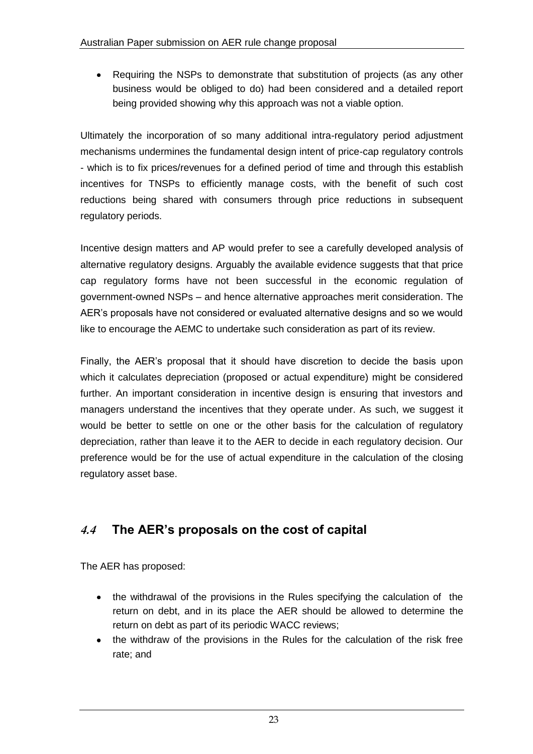$\bullet$ Requiring the NSPs to demonstrate that substitution of projects (as any other business would be obliged to do) had been considered and a detailed report being provided showing why this approach was not a viable option.

Ultimately the incorporation of so many additional intra-regulatory period adjustment mechanisms undermines the fundamental design intent of price-cap regulatory controls - which is to fix prices/revenues for a defined period of time and through this establish incentives for TNSPs to efficiently manage costs, with the benefit of such cost reductions being shared with consumers through price reductions in subsequent regulatory periods.

Incentive design matters and AP would prefer to see a carefully developed analysis of alternative regulatory designs. Arguably the available evidence suggests that that price cap regulatory forms have not been successful in the economic regulation of government-owned NSPs – and hence alternative approaches merit consideration. The AER's proposals have not considered or evaluated alternative designs and so we would like to encourage the AEMC to undertake such consideration as part of its review.

Finally, the AER's proposal that it should have discretion to decide the basis upon which it calculates depreciation (proposed or actual expenditure) might be considered further. An important consideration in incentive design is ensuring that investors and managers understand the incentives that they operate under. As such, we suggest it would be better to settle on one or the other basis for the calculation of regulatory depreciation, rather than leave it to the AER to decide in each regulatory decision. Our preference would be for the use of actual expenditure in the calculation of the closing regulatory asset base.

## **4.4 The AER's proposals on the cost of capital**

The AER has proposed:

- the withdrawal of the provisions in the Rules specifying the calculation of the return on debt, and in its place the AER should be allowed to determine the return on debt as part of its periodic WACC reviews;
- $\bullet$ the withdraw of the provisions in the Rules for the calculation of the risk free rate; and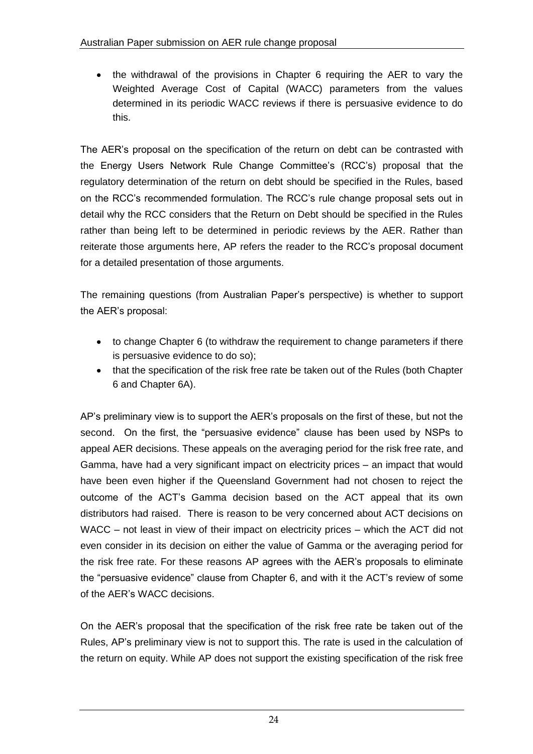the withdrawal of the provisions in Chapter 6 requiring the AER to vary the  $\bullet$ Weighted Average Cost of Capital (WACC) parameters from the values determined in its periodic WACC reviews if there is persuasive evidence to do this.

The AER's proposal on the specification of the return on debt can be contrasted with the Energy Users Network Rule Change Committee's (RCC's) proposal that the regulatory determination of the return on debt should be specified in the Rules, based on the RCC's recommended formulation. The RCC's rule change proposal sets out in detail why the RCC considers that the Return on Debt should be specified in the Rules rather than being left to be determined in periodic reviews by the AER. Rather than reiterate those arguments here, AP refers the reader to the RCC's proposal document for a detailed presentation of those arguments.

The remaining questions (from Australian Paper's perspective) is whether to support the AER's proposal:

- to change Chapter 6 (to withdraw the requirement to change parameters if there is persuasive evidence to do so);
- that the specification of the risk free rate be taken out of the Rules (both Chapter 6 and Chapter 6A).

AP's preliminary view is to support the AER's proposals on the first of these, but not the second. On the first, the "persuasive evidence" clause has been used by NSPs to appeal AER decisions. These appeals on the averaging period for the risk free rate, and Gamma, have had a very significant impact on electricity prices – an impact that would have been even higher if the Queensland Government had not chosen to reject the outcome of the ACT's Gamma decision based on the ACT appeal that its own distributors had raised. There is reason to be very concerned about ACT decisions on WACC – not least in view of their impact on electricity prices – which the ACT did not even consider in its decision on either the value of Gamma or the averaging period for the risk free rate. For these reasons AP agrees with the AER's proposals to eliminate the "persuasive evidence" clause from Chapter 6, and with it the ACT's review of some of the AER's WACC decisions.

On the AER's proposal that the specification of the risk free rate be taken out of the Rules, AP's preliminary view is not to support this. The rate is used in the calculation of the return on equity. While AP does not support the existing specification of the risk free